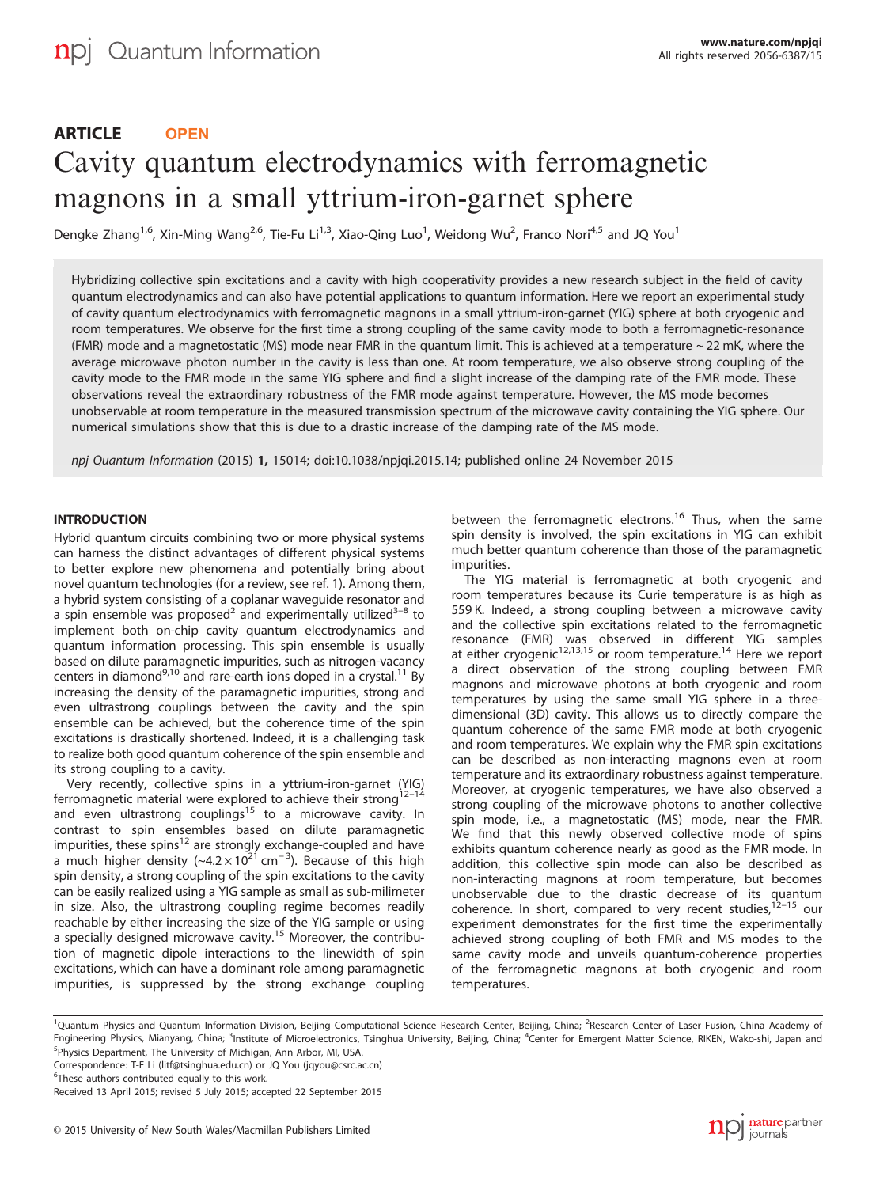# ARTICLE **OPEN** Cavity quantum electrodynamics with ferromagnetic magnons in a small yttrium-iron-garnet sphere

Dengke Zhang<sup>1,6</sup>, Xin-Ming Wang<sup>2,6</sup>, Tie-Fu Li<sup>1,3</sup>, Xiao-Qing Luo<sup>1</sup>, Weidong Wu<sup>2</sup>, Franco Nori<sup>4,5</sup> and JQ You<sup>1</sup>

Hybridizing collective spin excitations and a cavity with high cooperativity provides a new research subject in the field of cavity quantum electrodynamics and can also have potential applications to quantum information. Here we report an experimental study of cavity quantum electrodynamics with ferromagnetic magnons in a small yttrium-iron-garnet (YIG) sphere at both cryogenic and room temperatures. We observe for the first time a strong coupling of the same cavity mode to both a ferromagnetic-resonance (FMR) mode and a magnetostatic (MS) mode near FMR in the quantum limit. This is achieved at a temperature  $\sim$  22 mK, where the average microwave photon number in the cavity is less than one. At room temperature, we also observe strong coupling of the cavity mode to the FMR mode in the same YIG sphere and find a slight increase of the damping rate of the FMR mode. These observations reveal the extraordinary robustness of the FMR mode against temperature. However, the MS mode becomes unobservable at room temperature in the measured transmission spectrum of the microwave cavity containing the YIG sphere. Our numerical simulations show that this is due to a drastic increase of the damping rate of the MS mode.

npj Quantum Information (2015) 1, 15014; doi:[10.1038/npjqi.2015.14](http://dx.doi.org/10.1038/npjqi.2015.14); published online 24 November 2015

# **INTRODUCTION**

Hybrid quantum circuits combining two or more physical systems can harness the distinct advantages of different physical systems to better explore new phenomena and potentially bring about novel quantum technologies (for a review, see [ref. 1\)](#page-5-0). Among them, a hybrid system consisting of a coplanar waveguide resonator and a spin ensemble was proposed<sup>2</sup> and experimentally utilized<sup>3-8</sup> to implement both on-chip cavity quantum electrodynamics and quantum information processing. This spin ensemble is usually based on dilute paramagnetic impurities, such as nitrogen-vacancy centers in diamond<sup>[9,10](#page-5-0)</sup> and rare-earth ions doped in a crystal.<sup>11</sup> By increasing the density of the paramagnetic impurities, strong and even ultrastrong couplings between the cavity and the spin ensemble can be achieved, but the coherence time of the spin excitations is drastically shortened. Indeed, it is a challenging task to realize both good quantum coherence of the spin ensemble and its strong coupling to a cavity.

Very recently, collective spins in a yttrium-iron-garnet (YIG)<br>ferromagnetic material were explored to achieve their strong<sup>12–[14](#page-5-0)</sup> and even ultrastrong couplings<sup>[15](#page-5-0)</sup> to a microwave cavity. In contrast to spin ensembles based on dilute paramagnetic impurities, these spins<sup>[12](#page-5-0)</sup> are strongly exchange-coupled and have a much higher density (~4.2 × 10<sup>21</sup> cm<sup>-3</sup>). Because of this high spin density, a strong coupling of the spin excitations to the cavity can be easily realized using a YIG sample as small as sub-milimeter in size. Also, the ultrastrong coupling regime becomes readily reachable by either increasing the size of the YIG sample or using a specially designed microwave cavity.<sup>[15](#page-5-0)</sup> Moreover, the contribution of magnetic dipole interactions to the linewidth of spin excitations, which can have a dominant role among paramagnetic impurities, is suppressed by the strong exchange coupling between the ferromagnetic electrons.<sup>[16](#page-5-0)</sup> Thus, when the same spin density is involved, the spin excitations in YIG can exhibit much better quantum coherence than those of the paramagnetic impurities.

The YIG material is ferromagnetic at both cryogenic and room temperatures because its Curie temperature is as high as 559 K. Indeed, a strong coupling between a microwave cavity and the collective spin excitations related to the ferromagnetic resonance (FMR) was observed in different YIG samples<br>at either cryogenic<sup>[12](#page-5-0),[13](#page-5-0),[15](#page-5-0)</sup> or room temperature.<sup>14</sup> Here we report a direct observation of the strong coupling between FMR magnons and microwave photons at both cryogenic and room temperatures by using the same small YIG sphere in a threedimensional (3D) cavity. This allows us to directly compare the quantum coherence of the same FMR mode at both cryogenic and room temperatures. We explain why the FMR spin excitations can be described as non-interacting magnons even at room temperature and its extraordinary robustness against temperature. Moreover, at cryogenic temperatures, we have also observed a strong coupling of the microwave photons to another collective spin mode, i.e., a magnetostatic (MS) mode, near the FMR. We find that this newly observed collective mode of spins exhibits quantum coherence nearly as good as the FMR mode. In addition, this collective spin mode can also be described as non-interacting magnons at room temperature, but becomes unobservable due to the drastic decrease of its quantum coherence. In short, compared to very recent studies, $12-15$  $12-15$  our experiment demonstrates for the first time the experimentally achieved strong coupling of both FMR and MS modes to the same cavity mode and unveils quantum-coherence properties of the ferromagnetic magnons at both cryogenic and room temperatures.

Correspondence: T-F Li ([litf@tsinghua.edu.cn\)](mailto:litf@tsinghua.edu.cn) or JQ You ([jqyou@csrc.ac.cn\)](mailto:jqyou@csrc.ac.cn)

<sup>&</sup>lt;sup>1</sup>Quantum Physics and Quantum Information Division, Beijing Computational Science Research Center, Beijing, China; <sup>2</sup>Research Center of Laser Fusion, China Academy of Engineering Physics, Mianyang, China; <sup>3</sup>Institute of Microelectronics, Tsinghua University, Beijing, China; <sup>4</sup>Center for Emergent Matter Science, RIKEN, Wako-shi, Japan and 5 Physics Department, The University of Michigan, Ann Arbor, MI, USA.

<sup>&</sup>lt;sup>6</sup>These authors contributed equally to this work.

Received 13 April 2015; revised 5 July 2015; accepted 22 September 2015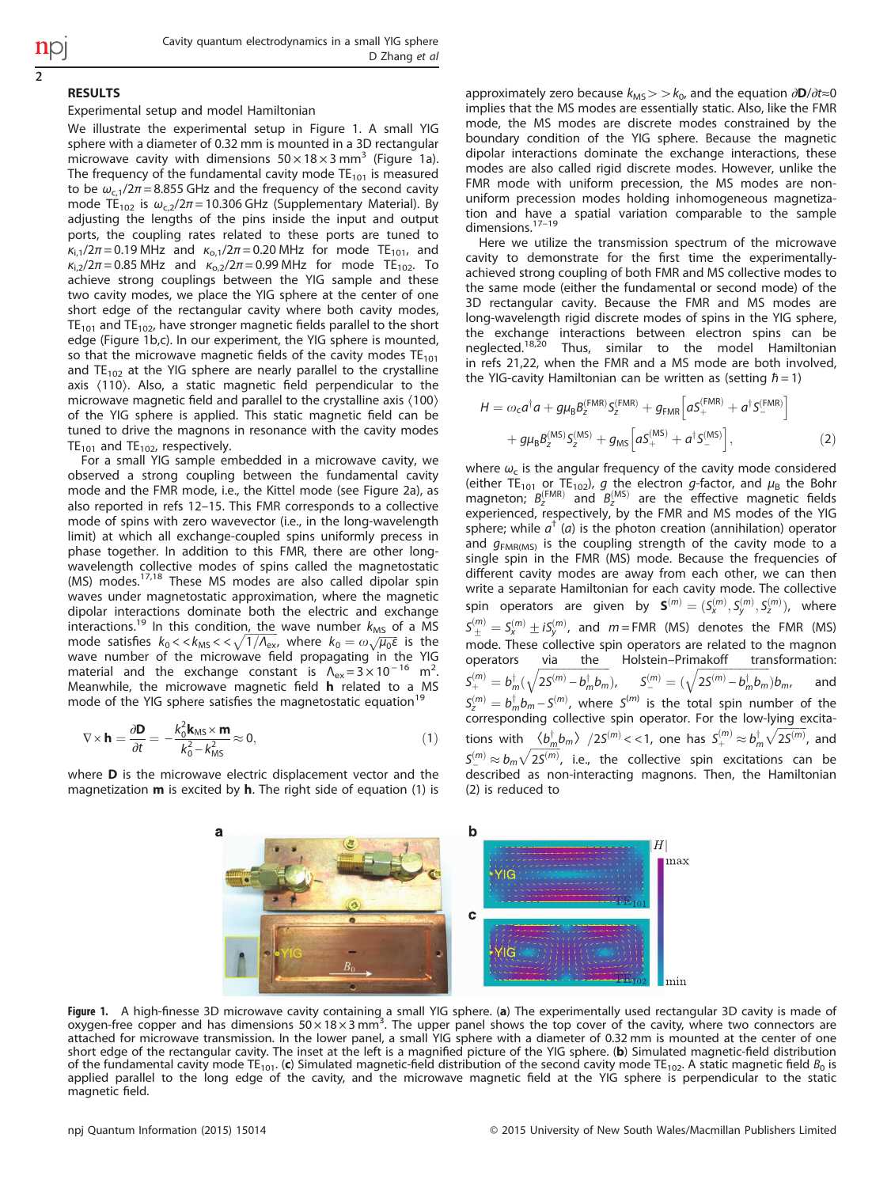# 2

# RESULTS

# Experimental setup and model Hamiltonian

We illustrate the experimental setup in Figure 1. A small YIG sphere with a diameter of 0.32 mm is mounted in a 3D rectangular microwave cavity with dimensions  $50 \times 18 \times 3$  mm<sup>3</sup> (Figure 1a). The frequency of the fundamental cavity mode  $TE_{101}$  is measured to be  $\omega_{c1}/2\pi$  = 8.855 GHz and the frequency of the second cavity mode TE<sub>102</sub> is  $\omega_{c,2}/2\pi$  = 10.306 GHz (Supplementary Material). By adjusting the lengths of the pins inside the input and output ports, the coupling rates related to these ports are tuned to  $\kappa_{i,1}/2\pi = 0.19$  MHz and  $\kappa_{o,1}/2\pi = 0.20$  MHz for mode TE<sub>101</sub>, and  $\kappa_{1,2}/2\pi = 0.85$  MHz and  $\kappa_{0,2}/2\pi = 0.99$  MHz for mode TE<sub>102</sub>. To achieve strong couplings between the YIG sample and these two cavity modes, we place the YIG sphere at the center of one short edge of the rectangular cavity where both cavity modes,  $TE_{101}$  and  $TE_{102}$ , have stronger magnetic fields parallel to the short edge (Figure 1b,c). In our experiment, the YIG sphere is mounted, so that the microwave magnetic fields of the cavity modes  $TE_{101}$ and  $TE_{102}$  at the YIG sphere are nearly parallel to the crystalline axis 〈110〉. Also, a static magnetic field perpendicular to the microwave magnetic field and parallel to the crystalline axis 〈100〉 of the YIG sphere is applied. This static magnetic field can be tuned to drive the magnons in resonance with the cavity modes  $TE_{101}$  and  $TE_{102}$ , respectively.

For a small YIG sample embedded in a microwave cavity, we observed a strong coupling between the fundamental cavity mode and the FMR mode, i.e., the Kittel mode (see [Figure 2a](#page-2-0)), as also reported in [refs 12](#page-5-0)–15. This FMR corresponds to a collective mode of spins with zero wavevector (i.e., in the long-wavelength limit) at which all exchange-coupled spins uniformly precess in phase together. In addition to this FMR, there are other longwavelength collective modes of spins called the magnetostatic (MS) modes.<sup>[17](#page-5-0),[18](#page-5-0)</sup> These MS modes are also called dipolar spin waves under magnetostatic approximation, where the magnetic dipolar interactions dominate both the electric and exchange interactions.<sup>[19](#page-5-0)</sup> In this condition, the wave number  $k_{MS}$  of a MS mode satisfies  $k_0 < k_{\text{MS}} < \sqrt{1/\Lambda_{\text{ex}}},$  where  $k_0 = \omega \sqrt{\mu_0 \epsilon}$  is the wave number of the microwave field propagating in the YIG material and the exchange constant is  $\Lambda_{ex} = 3 \times 10^{-16}$  m<sup>2</sup>. . Meanwhile, the microwave magnetic field h related to a MS mode of the YIG sphere satisfies the magnetostatic equation $19$ 

$$
\nabla \times \mathbf{h} = \frac{\partial \mathbf{D}}{\partial t} = -\frac{k_0^2 \mathbf{k}_{\text{MS}} \times \mathbf{m}}{k_0^2 - k_{\text{MS}}^2} \approx 0, \tag{1}
$$

where **D** is the microwave electric displacement vector and the magnetization  $m$  is excited by  $h$ . The right side of equation (1) is approximately zero because  $k_{\text{MS}}$  > >  $k_0$ , and the equation ∂D/∂t≈0 implies that the MS modes are essentially static. Also, like the FMR mode, the MS modes are discrete modes constrained by the boundary condition of the YIG sphere. Because the magnetic dipolar interactions dominate the exchange interactions, these modes are also called rigid discrete modes. However, unlike the FMR mode with uniform precession, the MS modes are nonuniform precession modes holding inhomogeneous magnetization and [have](#page-5-0) a spatial variation comparable to the sample<br>dimensions.<sup>17–19</sup>

Here we utilize the transmission spectrum of the microwave cavity to demonstrate for the first time the experimentallyachieved strong coupling of both FMR and MS collective modes to the same mode (either the fundamental or second mode) of the 3D rectangular cavity. Because the FMR and MS modes are long-wavelength rigid discrete modes of spins in the YIG sphere, the exchange interactions between electron spins can be neglected.[18](#page-5-0),[20](#page-5-0) Thus, similar to the model Hamiltonian in [refs 21,22,](#page-5-0) when the FMR and a MS mode are both involved, the YIG-cavity Hamiltonian can be written as (setting  $\hbar = 1$ )

$$
H = \omega_c a^{\dagger} a + g \mu_B B_2^{\text{(FMR)}} S_2^{\text{(FMR)}} + g_{\text{FMR}} \left[ a S_+^{\text{(FMR)}} + a^{\dagger} S_-^{\text{(FMR)}} \right] + g \mu_B B_2^{\text{(MS)}} S_2^{\text{(MS)}} + g_{\text{MS}} \left[ a S_+^{\text{(MS)}} + a^{\dagger} S_-^{\text{(MS)}} \right],
$$
(2)

where  $\omega_c$  is the angular frequency of the cavity mode considered (either TE<sub>101</sub> or TE<sub>102</sub>), g the electron g-factor, and  $\mu_B$  the Bohr magneton;  $B_{z}^{\text{(FMR)}}$  and  $B_{z}^{\text{(MS)}}$  are the effective magnetic fields experienced, respectively, by the FMR and MS modes of the YIG sphere; while  $a^{\dagger}$  (a) is the photon creation (annihilation) operator and  $g<sub>FMR(MS)</sub>$  is the coupling strength of the cavity mode to a single spin in the FMR (MS) mode. Because the frequencies of different cavity modes are away from each other, we can then write a separate Hamiltonian for each cavity mode. The collective spin operators are given by  $\mathbf{S}^{(m)} = (S_{x}^{(m)}, S_{y}^{(m)}, S_{z}^{(m)})$ , where  $S^{(m)}_{\pm}=S^{(m)}_x\pm iS^{(m)}_y$ , and  $m=$  FMR (MS) denotes the FMR (MS) mode. These collective spin operators are related to the magnon<br>operators via the Holstein-Primakoff transformation: operators <u>via the</u> Holstein–Primakoff  $\mathcal{S}^{(m)}_+ = b_m^\dagger (\sqrt{2 \mathcal{S}^{(m)}-b_m^\dagger b_m^{\phantom{\dagger}}}$  $S^{(m)}_{-}=(\sqrt{2S^{(m)}-b^{\dagger}_{m}b_{m}})b_{m},\hspace{0.2in}$  and  $S_{z}^{(m)}=b_{m}^{\dagger}b_{m}-S^{(m)}$ , where  $S^{(m)}$  is the total spin number of the corresponding collective spin operator. For the low-lying excitations with  $\langle b_m^{\dagger}b_m\rangle$   $/2S^{(m)} << 1$ , one has  $S^{(m)}_+ \approx b_m^{\dagger}\sqrt{2S^{(m)}}$ , and  $S_{-}^{(m)} \approx b_m\sqrt{2S^{(m)}}$ , i.e., the collective spin excitations can be described as non-interacting magnons. Then, the Hamiltonian (2) is reduced to



Figure 1. A high-finesse 3D microwave cavity containing a small YIG sphere. (a) The experimentally used rectangular 3D cavity is made of oxygen-free copper and has dimensions  $50 \times 18 \times 3$  mm<sup>3</sup>. The upper panel shows the top cover of the cavity, where two connectors are attached for microwave transmission. In the lower panel, a small YIG sphere with a diameter of 0.32 mm is mounted at the center of one short edge of the rectangular cavity. The inset at the left is a magnified picture of the YIG sphere. (b) Simulated magnetic-field distribution of the fundamental cavity mode  $TE_{101}$ . (c) Simulated magnetic-field distribution of the second cavity mode TE<sub>102</sub>. A static magnetic field  $B_0$  is applied parallel to the long edge of the cavity, and the microwave magnetic field at the YIG sphere is perpendicular to the static magnetic field.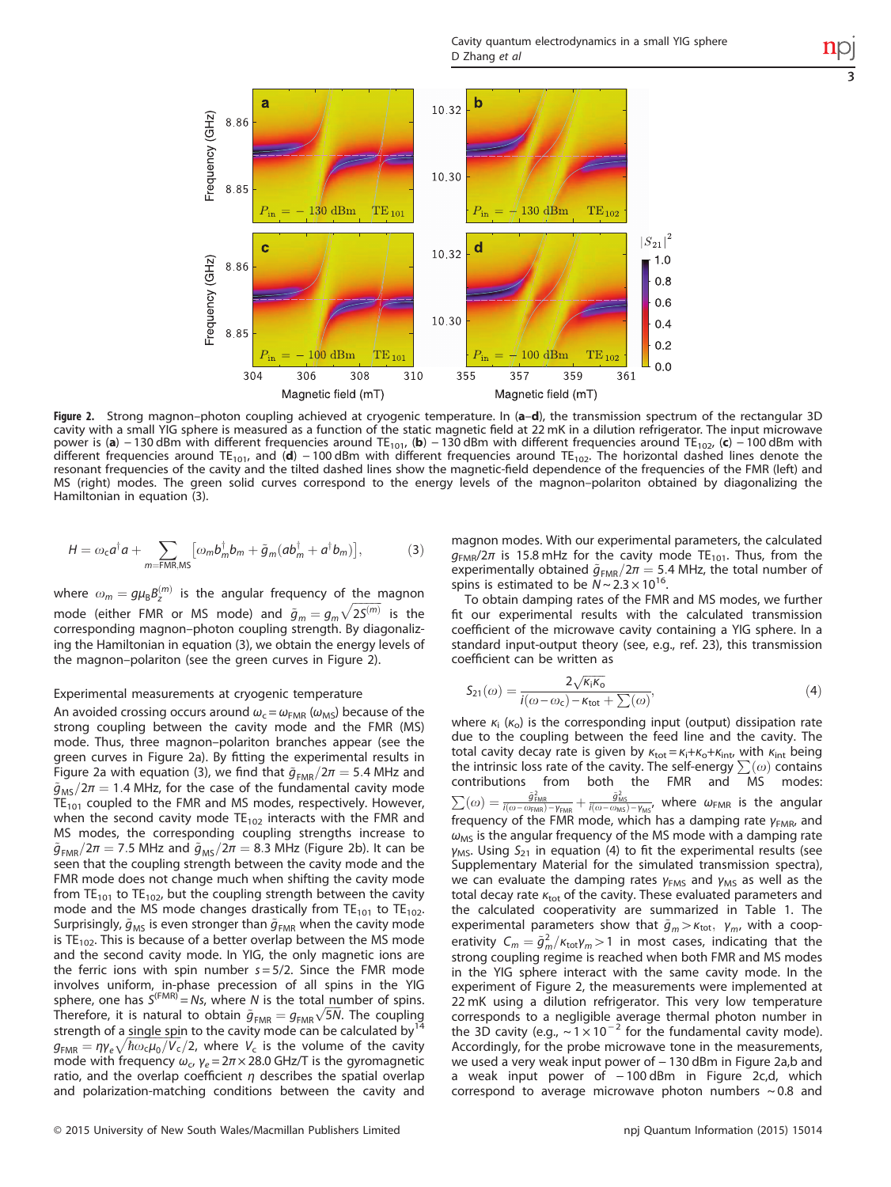Cavity quantum electrodynamics in a small YIG sphere D Zhang et al

3

<span id="page-2-0"></span>

Figure 2. Strong magnon–photon coupling achieved at cryogenic temperature. In (a–d), the transmission spectrum of the rectangular 3D cavity with a small YIG sphere is measured as a function of the static magnetic field at 22 mK in a dilution refrigerator. The input microwave power is (a) − 130 dBm with different frequencies around TE<sub>101</sub>, (b) − 130 dBm with different frequencies around TE<sub>102</sub>, (c) − 100 dBm with different frequencies around TE<sub>101</sub>, and (d) − 100 dBm with different frequencies around TE<sub>102</sub>. The horizontal dashed lines denote the resonant frequencies of the cavity and the tilted dashed lines show the magnetic-field dependence of the frequencies of the FMR (left) and MS (right) modes. The green solid curves correspond to the energy levels of the magnon–polariton obtained by diagonalizing the Hamiltonian in equation (3).

$$
H = \omega_{\rm c} a^{\dagger} a + \sum_{m = \text{FMR},\text{MS}} \left[ \omega_m b_m^{\dagger} b_m + \tilde{g}_m (a b_m^{\dagger} + a^{\dagger} b_m) \right],\tag{3}
$$

where  $\omega_m = g\mu_B B_\gamma^{(m)}$  is the angular frequency of the magnon mode (either FMR or MS mode) and  $\tilde{g}_m = g_m \sqrt{2S^{(m)}}$  is the corresponding magnon–photon coupling strength. By diagonalizing the Hamiltonian in equation (3), we obtain the energy levels of the magnon–polariton (see the green curves in Figure 2).

# Experimental measurements at cryogenic temperature

An avoided crossing occurs around  $\omega_c = \omega_{FMR} (\omega_{MS})$  because of the strong coupling between the cavity mode and the FMR (MS) mode. Thus, three magnon–polariton branches appear (see the green curves in Figure 2a). By fitting the experimental results in Figure 2a with equation (3), we find that  $\tilde{g}_{FMR}/2\pi=5.4$  MHz and  $\tilde{g}_{\text{MS}}/2\pi = 1.4$  MHz, for the case of the fundamental cavity mode  $TE_{101}$  coupled to the FMR and MS modes, respectively. However, when the second cavity mode  $TE_{102}$  interacts with the FMR and MS modes, the corresponding coupling strengths increase to  $\tilde{g}_{FMR}/2\pi=7.5$  MHz and  $\tilde{g}_{MS}/2\pi=8.3$  MHz (Figure 2b). It can be seen that the coupling strength between the cavity mode and the FMR mode does not change much when shifting the cavity mode from TE<sub>101</sub> to TE<sub>102</sub>, but the coupling strength between the cavity mode and the MS mode changes drastically from  $TE_{101}$  to  $TE_{102}$ . Surprisingly,  $\tilde{g}_{MS}$  is even stronger than  $\tilde{g}_{FMR}$  when the cavity mode is  $TE_{102}$ . This is because of a better overlap between the MS mode and the second cavity mode. In YIG, the only magnetic ions are the ferric ions with spin number  $s = 5/2$ . Since the FMR mode involves uniform, in-phase precession of all spins in the YIG sphere, one has  $S^{(FMR)} = Ns$ , where N is the total number of spins. Therefore, it is natural to obtain  $\tilde{g}_{FMR} = g_{FMR} \sqrt{5N}$ . The coupling strength of a single spin to the cavity mode can be calculated by $<sup>1</sup>$ </sup>  $g_{\text{FMR}} = \eta \gamma_e \sqrt{\hbar \omega_c \mu_0/V_c}/2$ , where  $V_c$  is the volume of the cavity mode with frequency  $\omega_c$ ,  $\gamma_e = 2\pi \times 28.0$  GHz/T is the gyromagnetic ratio, and the overlap coefficient  $\eta$  describes the spatial overlap and polarization-matching conditions between the cavity and magnon modes. With our experimental parameters, the calculated  $g_{FMR}/2\pi$  is 15.8 mHz for the cavity mode TE<sub>101</sub>. Thus, from the experimentally obtained  $\tilde{g}_{FMR}/2\pi=5.4$  MHz, the total number of spins is estimated to be  $N \sim 2.3 \times 10^{16}$ .

To obtain damping rates of the FMR and MS modes, we further fit our experimental results with the calculated transmission coefficient of the microwave cavity containing a YIG sphere. In a standard input-output theory (see, e.g., [ref. 23\)](#page-5-0), this transmission coefficient can be written as

$$
S_{21}(\omega) = \frac{2\sqrt{\kappa_i\kappa_o}}{i(\omega - \omega_c) - \kappa_{\text{tot}} + \sum(\omega)},\tag{4}
$$

where  $\kappa_i$  ( $\kappa_o$ ) is the corresponding input (output) dissipation rate due to the coupling between the feed line and the cavity. The total cavity decay rate is given by  $\kappa_{\text{tot}} = \kappa_i + \kappa_o + \kappa_{\text{int}}$ , with  $\kappa_{\text{int}}$  being the intrinsic loss rate of the cavity. The self-energy  $\sum(\omega)$  contains contributions from both the FMR and MS modes:  $\sum(\omega) = \frac{\tilde{g}_{\text{FMR}}^2}{i(\omega - \omega_{\text{FMR}}) - \gamma_{\text{FMR}}} + \frac{\tilde{g}_{\text{MS}}^2}{i(\omega - \omega_{\text{MS}}) - \gamma_{\text{MS}}},$  where  $\omega_{\text{FMR}}$  is the angular frequency of the FMR mode, which has a damping rate  $\gamma_{FMR}$ , and  $\omega_{\text{MS}}$  is the angular frequency of the MS mode with a damping rate  $y_{MS}$ . Using  $S_{21}$  in equation (4) to fit the experimental results (see Supplementary Material for the simulated transmission spectra), we can evaluate the damping rates  $\gamma_{FMS}$  and  $\gamma_{MS}$  as well as the total decay rate  $\kappa_{\rm tot}$  of the cavity. These evaluated parameters and the calculated cooperativity are summarized in [Table 1.](#page-3-0) The experimental parameters show that  $\tilde{g}_m > \kappa_{\text{tot}}, \gamma_{m}$ , with a cooperativity  $C_m = \tilde{g}_m^2/\kappa_{\text{tot}}\gamma_m > 1$  in most cases, indicating that the strong coupling regime is reached when both FMR and MS modes in the YIG sphere interact with the same cavity mode. In the experiment of Figure 2, the measurements were implemented at 22 mK using a dilution refrigerator. This very low temperature corresponds to a negligible average thermal photon number in the 3D cavity (e.g.,  $\sim 1 \times 10^{-2}$  for the fundamental cavity mode). Accordingly, for the probe microwave tone in the measurements, we used a very weak input power of − 130 dBm in Figure 2a,b and a weak input power of − 100 dBm in Figure 2c,d, which correspond to average microwave photon numbers  $\sim 0.8$  and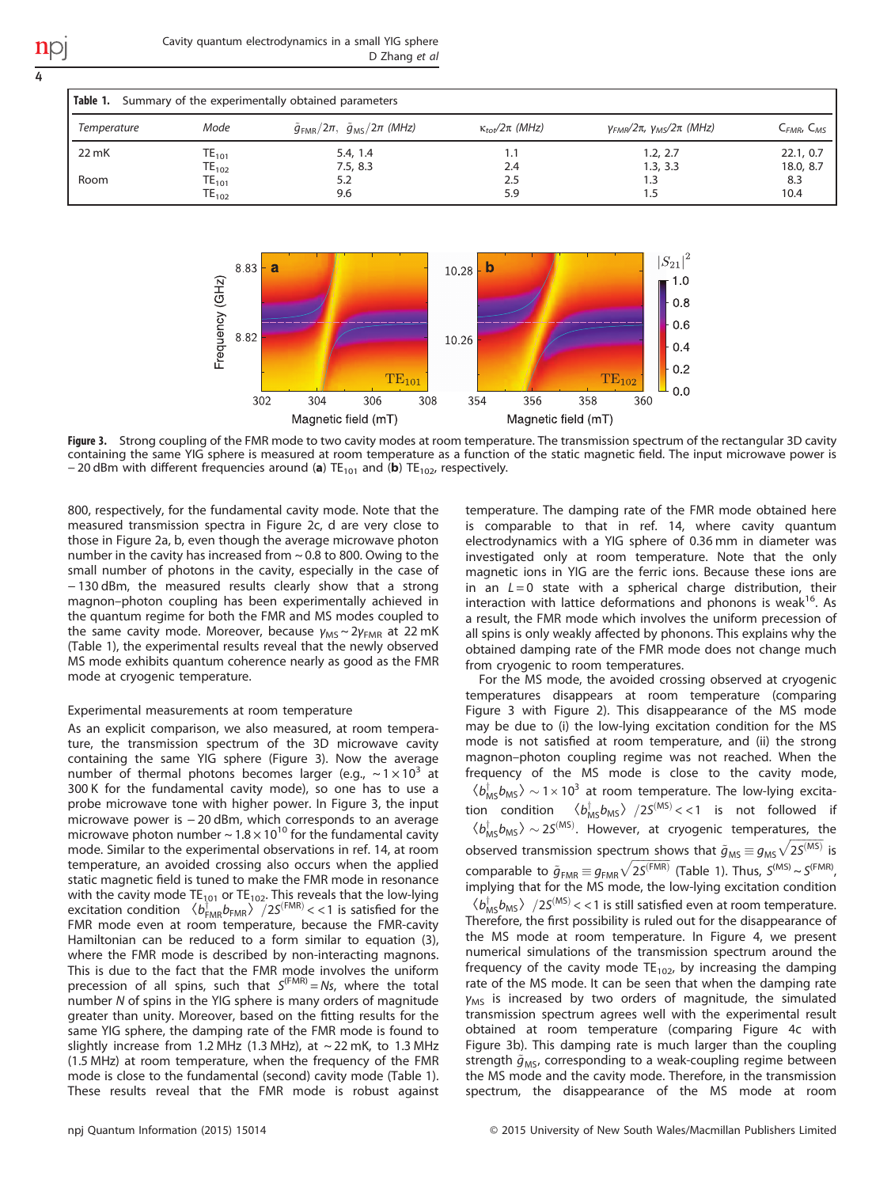<span id="page-3-0"></span>4

| Cavity quantum electrodynamics in a small YIG sphere |  |               |  |
|------------------------------------------------------|--|---------------|--|
|                                                      |  | D Zhang et al |  |

| Table 1.<br>Summary of the experimentally obtained parameters |                     |                                                      |                           |                                      |                                    |  |  |
|---------------------------------------------------------------|---------------------|------------------------------------------------------|---------------------------|--------------------------------------|------------------------------------|--|--|
| Temperature                                                   | Mode                | $\tilde{g}_{FMR}/2\pi$ , $\tilde{g}_{MS}/2\pi$ (MHz) | $\kappa_{tot}/2\pi$ (MHz) | $V_{FMR}/2\pi$ , $V_{MS}/2\pi$ (MHz) | C <sub>FMR</sub> , C <sub>MS</sub> |  |  |
| 22 mK                                                         | $\mathsf{TE}_{101}$ | 5.4, 1.4                                             | 1.1                       | 1.2.2.7                              | 22.1, 0.7                          |  |  |
|                                                               | $TE_{102}$          | 7.5, 8.3                                             | 2.4                       | 1.3, 3.3                             | 18.0, 8.7                          |  |  |
| Room                                                          | $TE_{101}$          | 5.2                                                  | 2.5                       | 1.3                                  | 8.3                                |  |  |
|                                                               | $TE_{102}$          | 9.6                                                  | 5.9                       | 1.5                                  | 10.4                               |  |  |



Figure 3. Strong coupling of the FMR mode to two cavity modes at room temperature. The transmission spectrum of the rectangular 3D cavity containing the same YIG sphere is measured at room temperature as a function of the static magnetic field. The input microwave power is − 20 dBm with different frequencies around (a) TE<sub>101</sub> and (b) TE<sub>102</sub>, respectively.

800, respectively, for the fundamental cavity mode. Note that the measured transmission spectra in [Figure 2c, d](#page-2-0) are very close to those in [Figure 2a, b,](#page-2-0) even though the average microwave photon number in the cavity has increased from ~ 0.8 to 800. Owing to the small number of photons in the cavity, especially in the case of − 130 dBm, the measured results clearly show that a strong magnon–photon coupling has been experimentally achieved in the quantum regime for both the FMR and MS modes coupled to the same cavity mode. Moreover, because  $γ_{MS}$  ~ 2 $γ_{FMR}$  at 22 mK (Table 1), the experimental results reveal that the newly observed MS mode exhibits quantum coherence nearly as good as the FMR mode at cryogenic temperature.

# Experimental measurements at room temperature

As an explicit comparison, we also measured, at room temperature, the transmission spectrum of the 3D microwave cavity containing the same YIG sphere (Figure 3). Now the average number of thermal photons becomes larger (e.g.,  $\sim 1 \times 10^3$  at 300 K for the fundamental cavity mode), so one has to use a probe microwave tone with higher power. In Figure 3, the input microwave power is − 20 dBm, which corresponds to an average microwave photon number  $\sim 1.8 \times 10^{10}$  for the fundamental cavity mode. Similar to the experimental observations in [ref. 14](#page-5-0), at room temperature, an avoided crossing also occurs when the applied static magnetic field is tuned to make the FMR mode in resonance with the cavity mode  $TE_{101}$  or  $TE_{102}$ . This reveals that the low-lying excitation condition  $\langle b_{FMR}^{\dagger}b_{FMR}\rangle$  /2S<sup>(FMR)</sup> < < 1 is satisfied for the FMR mode even at room temperature, because the FMR-cavity Hamiltonian can be reduced to a form similar to equation (3), where the FMR mode is described by non-interacting magnons. This is due to the fact that the FMR mode involves the uniform precession of all spins, such that  $S^{(FMR)} = Ns$ , where the total number N of spins in the YIG sphere is many orders of magnitude greater than unity. Moreover, based on the fitting results for the same YIG sphere, the damping rate of the FMR mode is found to slightly increase from 1.2 MHz (1.3 MHz), at  $\sim$  22 mK, to 1.3 MHz (1.5 MHz) at room temperature, when the frequency of the FMR mode is close to the fundamental (second) cavity mode (Table 1). These results reveal that the FMR mode is robust against temperature. The damping rate of the FMR mode obtained here is comparable to that in [ref. 14](#page-5-0), where cavity quantum electrodynamics with a YIG sphere of 0.36 mm in diameter was investigated only at room temperature. Note that the only magnetic ions in YIG are the ferric ions. Because these ions are in an  $L = 0$  state with a spherical charge distribution, their interaction with lattice deformations and phonons is weak<sup>[16](#page-5-0)</sup>. As a result, the FMR mode which involves the uniform precession of all spins is only weakly affected by phonons. This explains why the obtained damping rate of the FMR mode does not change much from cryogenic to room temperatures.

For the MS mode, the avoided crossing observed at cryogenic temperatures disappears at room temperature (comparing Figure 3 with [Figure 2](#page-2-0)). This disappearance of the MS mode may be due to (i) the low-lying excitation condition for the MS mode is not satisfied at room temperature, and (ii) the strong magnon–photon coupling regime was not reached. When the frequency of the MS mode is close to the cavity mode,  $\langle b_{\text{MS}}^{\dagger} b_{\text{MS}} \rangle \sim 1 \times 10^3$  at room temperature. The low-lying excitation condition  $\langle b_{\text{MS}}^{\dagger}b_{\text{MS}}\rangle$  /2S<sup>(MS)</sup> < 1 is not followed if  $\langle b_{\text{MS}}^{\dagger}b_{\text{MS}}\rangle \sim 25^{(\text{MS})}$ . However, at cryogenic temperatures, the observed transmission spectrum shows that  $\tilde{g}_{MS} \equiv g_{MS} \sqrt{25}^{\text{(MS)}}$  is comparable to  $\tilde{g}_{FMR} \equiv g_{FMR} \sqrt{2S^{(FMR)}}$  (Table 1). Thus,  $S^{(MS)} \sim S^{(FMR)}$ , implying that for the MS mode, the low-lying excitation condition  $\langle b_{\text{MS}}^{\dagger} b_{\text{MS}} \rangle$   $/25^{(\text{MS})}$  < < 1 is still satisfied even at room temperature. Therefore, the first possibility is ruled out for the disappearance of the MS mode at room temperature. In [Figure 4](#page-4-0), we present numerical simulations of the transmission spectrum around the frequency of the cavity mode  $TE_{102}$ , by increasing the damping rate of the MS mode. It can be seen that when the damping rate  $y_{MS}$  is increased by two orders of magnitude, the simulated transmission spectrum agrees well with the experimental result obtained at room temperature (comparing [Figure 4c](#page-4-0) with Figure 3b). This damping rate is much larger than the coupling strength  $\tilde{g}_{MS}$ , corresponding to a weak-coupling regime between the MS mode and the cavity mode. Therefore, in the transmission spectrum, the disappearance of the MS mode at room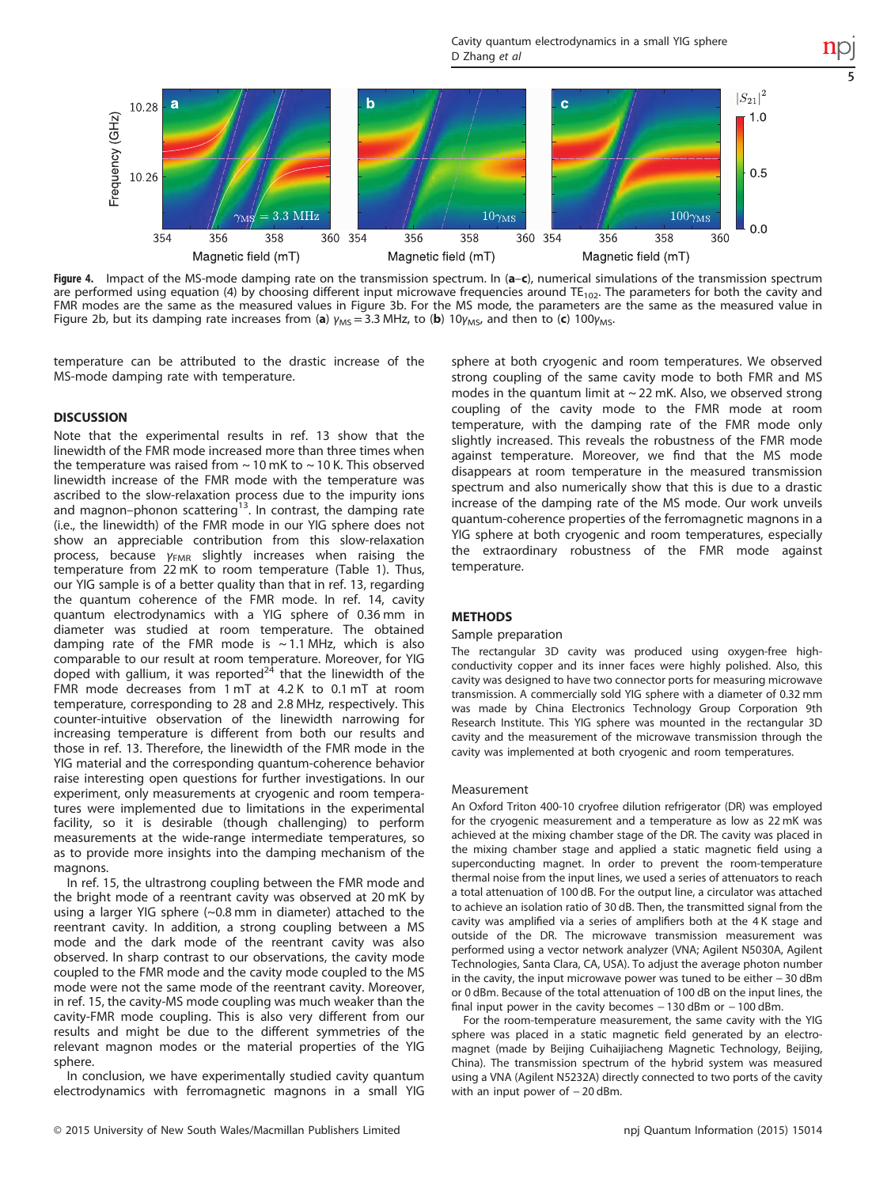Cavity quantum electrodynamics in a small YIG sphere D Zhang et al

5

<span id="page-4-0"></span>

Figure 4. Impact of the MS-mode damping rate on the transmission spectrum. In  $(a-c)$ , numerical simulations of the transmission spectrum are performed using equation (4) by choosing different input microwave frequencies around  $TE_{102}$ . The parameters for both the cavity and FMR modes are the same as the measured values in [Figure 3b](#page-3-0). For the MS mode, the parameters are the same as the measured value in [Figure 2b,](#page-2-0) but its damping rate increases from (a)  $\gamma_{MS}=3.3$  MHz, to (b) 10 $\gamma_{MS}$ , and then to (c) 100 $\gamma_{MS}$ .

temperature can be attributed to the drastic increase of the MS-mode damping rate with temperature.

# **DISCUSSION**

Note that the experimental results in [ref. 13](#page-5-0) show that the linewidth of the FMR mode increased more than three times when the temperature was raised from  $\sim$  10 mK to  $\sim$  10 K. This observed linewidth increase of the FMR mode with the temperature was ascribed to the slow-relaxation process due to the impurity ions and magnon–phonon scattering<sup>[13](#page-5-0)</sup>. In contrast, the damping rate (i.e., the linewidth) of the FMR mode in our YIG sphere does not show an appreciable contribution from this slow-relaxation process, because  $\gamma_{FMR}$  slightly increases when raising the temperature from 22 mK to room temperature ([Table 1\)](#page-3-0). Thus, our YIG sample is of a better quality than that in [ref. 13](#page-5-0), regarding the quantum coherence of the FMR mode. In [ref. 14](#page-5-0), cavity quantum electrodynamics with a YIG sphere of 0.36 mm in diameter was studied at room temperature. The obtained damping rate of the FMR mode is  $\sim$  1.1 MHz, which is also comparable to our result at room temperature. Moreover, for YIG doped with gallium, it was reported<sup>[24](#page-5-0)</sup> that the linewidth of the FMR mode decreases from 1 mT at 4.2 K to 0.1 mT at room temperature, corresponding to 28 and 2.8 MHz, respectively. This counter-intuitive observation of the linewidth narrowing for increasing temperature is different from both our results and those in [ref. 13](#page-5-0). Therefore, the linewidth of the FMR mode in the YIG material and the corresponding quantum-coherence behavior raise interesting open questions for further investigations. In our experiment, only measurements at cryogenic and room temperatures were implemented due to limitations in the experimental facility, so it is desirable (though challenging) to perform measurements at the wide-range intermediate temperatures, so as to provide more insights into the damping mechanism of the magnons.

In [ref. 15,](#page-5-0) the ultrastrong coupling between the FMR mode and the bright mode of a reentrant cavity was observed at 20 mK by using a larger YIG sphere (~0.8 mm in diameter) attached to the reentrant cavity. In addition, a strong coupling between a MS mode and the dark mode of the reentrant cavity was also observed. In sharp contrast to our observations, the cavity mode coupled to the FMR mode and the cavity mode coupled to the MS mode were not the same mode of the reentrant cavity. Moreover, in [ref. 15](#page-5-0), the cavity-MS mode coupling was much weaker than the cavity-FMR mode coupling. This is also very different from our results and might be due to the different symmetries of the relevant magnon modes or the material properties of the YIG sphere.

In conclusion, we have experimentally studied cavity quantum electrodynamics with ferromagnetic magnons in a small YIG sphere at both cryogenic and room temperatures. We observed strong coupling of the same cavity mode to both FMR and MS modes in the quantum limit at  $\sim$  22 mK. Also, we observed strong coupling of the cavity mode to the FMR mode at room temperature, with the damping rate of the FMR mode only slightly increased. This reveals the robustness of the FMR mode against temperature. Moreover, we find that the MS mode disappears at room temperature in the measured transmission spectrum and also numerically show that this is due to a drastic increase of the damping rate of the MS mode. Our work unveils quantum-coherence properties of the ferromagnetic magnons in a YIG sphere at both cryogenic and room temperatures, especially the extraordinary robustness of the FMR mode against temperature.

#### **METHODS**

#### Sample preparation

The rectangular 3D cavity was produced using oxygen-free highconductivity copper and its inner faces were highly polished. Also, this cavity was designed to have two connector ports for measuring microwave transmission. A commercially sold YIG sphere with a diameter of 0.32 mm was made by China Electronics Technology Group Corporation 9th Research Institute. This YIG sphere was mounted in the rectangular 3D cavity and the measurement of the microwave transmission through the cavity was implemented at both cryogenic and room temperatures.

# Measurement

An Oxford Triton 400-10 cryofree dilution refrigerator (DR) was employed for the cryogenic measurement and a temperature as low as 22 mK was achieved at the mixing chamber stage of the DR. The cavity was placed in the mixing chamber stage and applied a static magnetic field using a superconducting magnet. In order to prevent the room-temperature thermal noise from the input lines, we used a series of attenuators to reach a total attenuation of 100 dB. For the output line, a circulator was attached to achieve an isolation ratio of 30 dB. Then, the transmitted signal from the cavity was amplified via a series of amplifiers both at the 4 K stage and outside of the DR. The microwave transmission measurement was performed using a vector network analyzer (VNA; Agilent N5030A, Agilent Technologies, Santa Clara, CA, USA). To adjust the average photon number in the cavity, the input microwave power was tuned to be either − 30 dBm or 0 dBm. Because of the total attenuation of 100 dB on the input lines, the final input power in the cavity becomes − 130 dBm or − 100 dBm.

For the room-temperature measurement, the same cavity with the YIG sphere was placed in a static magnetic field generated by an electromagnet (made by Beijing Cuihaijiacheng Magnetic Technology, Beijing, China). The transmission spectrum of the hybrid system was measured using a VNA (Agilent N5232A) directly connected to two ports of the cavity with an input power of − 20 dBm.